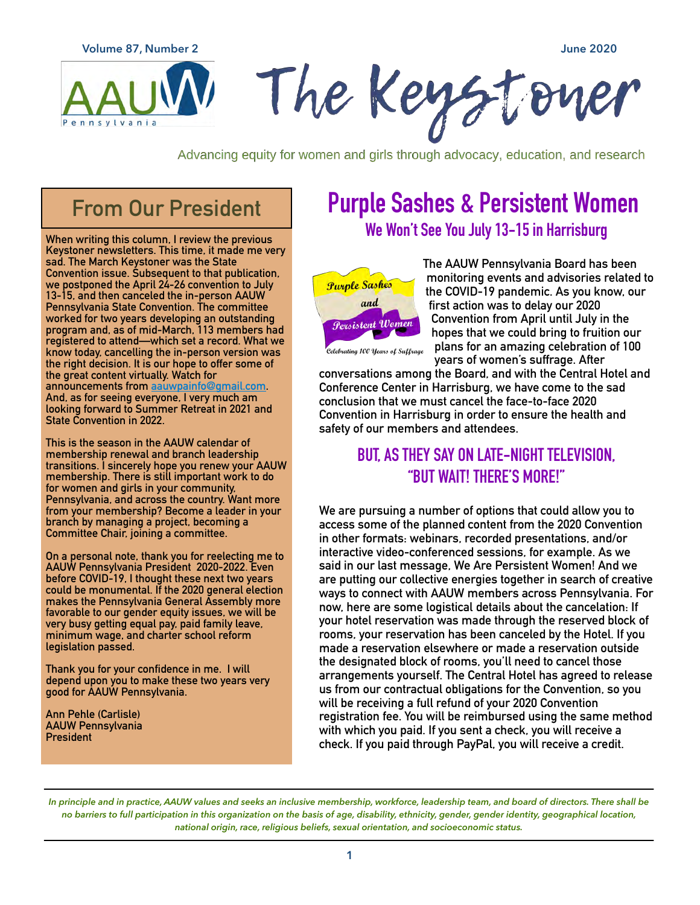**Volume 87, Number 2 June 2020**



Advancing equity for women and girls through advocacy, education, and research

# **From Our President**

**When writing this column, I review the previous Keystoner newsletters. This time, it made me very sad. The March Keystoner was the State Convention issue. Subsequent to that publication, we postponed the April 24-26 convention to July 13-15, and then canceled the in-person AAUW Pennsylvania State Convention. The committee worked for two years developing an outstanding program and, as of mid-March, 113 members had registered to attend—which set a record. What we know today, cancelling the in-person version was the right decision. It is our hope to offer some of the great content virtually. Watch for announcements from [aauwpainfo@gmail.com.](mailto:aauwpainfo@gmail.com) And, as for seeing ev[eryone, I very much am](mailto:aauwpainfo@gmail.com)  looking forward to Summer Retreat in 2021 and State Convention in 2022.** 

**This is the season in the AAUW calendar of membership renewal and branch leadership transitions. I sincerely hope you renew your AAUW membership. There is still important work to do for women and girls in your community, Pennsylvania, and across the country. Want more from your membership? Become a leader in your branch by managing a project, becoming a Committee Chair, joining a committee.** 

**On a personal note, thank you for reelecting me to AAUW Pennsylvania President 2020-2022. Even before COVID-19, I thought these next two years could be monumental. If the 2020 general election makes the Pennsylvania General Assembly more favorable to our gender equity issues, we will be very busy getting equal pay, paid family leave, minimum wage, and charter school reform legislation passed.** 

**Thank you for your confidence in me. I will depend upon you to make these two years very good for AAUW Pennsylvania.** 

**Ann Pehle (Carlisle) AAUW Pennsylvania President**

# **Purple Sashes & Persistent Women We Won't See You July 13-15 in Harrisburg**



**The AAUW Pennsylvania Board has been monitoring events and advisories related to the COVID-19 pandemic. As you know, our first action was to delay our 2020 Convention from April until July in the hopes that we could bring to fruition our plans for an amazing celebration of 100 years of women's suffrage. After** 

Celebrating 100 Years of Suffrage

**conversations among the Board, and with the Central Hotel and Conference Center in Harrisburg, we have come to the sad conclusion that we must cancel the face-to-face 2020 Convention in Harrisburg in order to ensure the health and safety of our members and attendees.** 

## **BUT, AS THEY SAY ON LATE-NIGHT TELEVISION, "BUT WAIT! THERE'S MORE!"**

**We are pursuing a number of options that could allow you to access some of the planned content from the 2020 Convention in other formats: webinars, recorded presentations, and/or interactive video-conferenced sessions, for example. As we said in our last message, We Are Persistent Women! And we are putting our collective energies together in search of creative ways to connect with AAUW members across Pennsylvania. For now, here are some logistical details about the cancelation: If your hotel reservation was made through the reserved block of rooms, your reservation has been canceled by the Hotel. If you made a reservation elsewhere or made a reservation outside the designated block of rooms, you'll need to cancel those arrangements yourself. The Central Hotel has agreed to release us from our contractual obligations for the Convention, so you will be receiving a full refund of your 2020 Convention registration fee. You will be reimbursed using the same method with which you paid. If you sent a check, you will receive a check. If you paid through PayPal, you will receive a credit.** 

*In principle and in practice, AAUW values and seeks an inclusive membership, workforce, leadership team, and board of directors. There shall be*  no barriers to full participation in this organization on the basis of age, disability, ethnicity, gender, gender identity, geographical location, *national origin, race, religious beliefs, sexual orientation, and socioeconomic status.*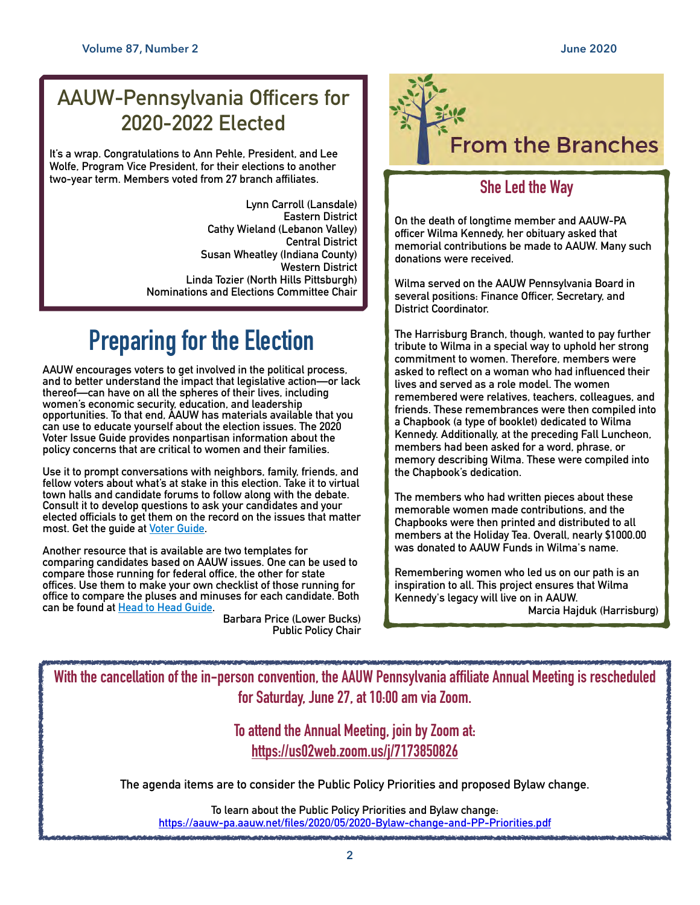# **AAUW-Pennsylvania Officers for 2020-2022 Elected**

**It's a wrap. Congratulations to Ann Pehle, President, and Lee Wolfe, Program Vice President, for their elections to another two-year term. Members voted from 27 branch affiliates.** 

> **Lynn Carroll (Lansdale) Eastern District Cathy Wieland (Lebanon Valley) Central District Susan Wheatley (Indiana County) Western District Linda Tozier (North Hills Pittsburgh) Nominations and Elections Committee Chair**

# **Preparing for the Election**

**AAUW encourages voters to get involved in the political process, and to better understand the impact that legislative action—or lack thereof—can have on all the spheres of their lives, including women's economic security, education, and leadership opportunities. To that end, AAUW has materials available that you can use to educate yourself about the election issues. The 2020 Voter Issue Guide provides nonpartisan information about the policy concerns that are critical to women and their families.** 

**Use it to prompt conversations with neighbors, family, friends, and fellow voters about what's at stake in this election. Take it to virtual town halls and candidate forums to follow along with the debate. Consult it to develop questions to ask your candidates and your elected officials to get them on the record on the issues that matter most. Get the guide at [Voter Guide.](https://www.aauwaction.org/voter-education/voter-issue-guide/)** 

**Another resource that is available are two templates for comparing candidates based on AAUW issues. One can be used to compare those running for federal office, the other for state offices. Use them to make your own checklist of those running for office to compare the pluses and minuses for each candidate. Both can be found at [Head to Head Guide.](https://www.aauwaction.org/voter-education/voter-guides/)** 

**Barbara Price (Lower Bucks) Public Policy Chair**



## **She Led the Way**

**On the death of longtime member and AAUW-PA officer Wilma Kennedy, her obituary asked that memorial contributions be made to AAUW. Many such donations were received.** 

**Wilma served on the AAUW Pennsylvania Board in several positions: Finance Officer, Secretary, and District Coordinator.** 

**The Harrisburg Branch, though, wanted to pay further tribute to Wilma in a special way to uphold her strong commitment to women. Therefore, members were asked to reflect on a woman who had influenced their lives and served as a role model. The women remembered were relatives, teachers, colleagues, and friends. These remembrances were then compiled into a Chapbook (a type of booklet) dedicated to Wilma Kennedy. Additionally, at the preceding Fall Luncheon, members had been asked for a word, phrase, or memory describing Wilma. These were compiled into the Chapbook's dedication.** 

**The members who had written pieces about these memorable women made contributions, and the Chapbooks were then printed and distributed to all members at the Holiday Tea. Overall, nearly \$1000.00 was donated to AAUW Funds in Wilma's name.** 

**Remembering women who led us on our path is an inspiration to all. This project ensures that Wilma Kennedy's legacy will live on in AAUW. Marcia Hajduk (Harrisburg)**

**With the cancellation of the in-person convention, the AAUW Pennsylvania affiliate Annual Meeting is rescheduled for Saturday, June 27, at 10:00 am via Zoom.** 

> **To attend the Annual Meeting, join by Zoom at: <https://us02web.zoom.us/j/7173850826>**

**The agenda items are to consider the Public Policy Priorities and proposed Bylaw change.** 

**To learn about the Public Policy Priorities and Bylaw change: <https://aauw-pa.aauw.net/files/2020/05/2020-Bylaw-change-and-PP-Priorities.pdf>**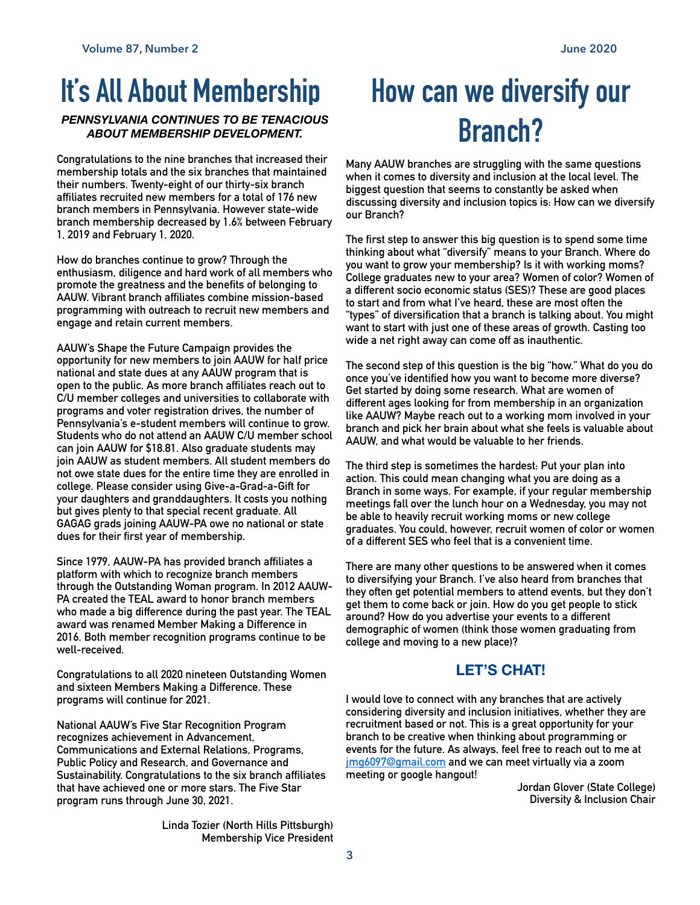### *PENNSYLVANIA CONTINUES TO BE TENACIOUS ABOUT MEMBERSHIP DEVELOPMENT.*

**Congratulations to the nine branches that increased their membership totals and the six branches that maintained their numbers. Twenty-eight of our thirty-six branch affiliates recruited new members for a total of 176 new branch members in Pennsylvania. However state-wide branch membership decreased by 1.6% between February 1, 2019 and February 1, 2020.** 

**How do branches continue to grow? Through the enthusiasm, diligence and hard work of all members who promote the greatness and the benefits of belonging to AAUW. Vibrant branch affiliates combine mission-based programming with outreach to recruit new members and engage and retain current members.** 

**AAUW's Shape the Future Campaign provides the opportunity for new members to join AAUW for half price national and state dues at any AAUW program that is open to the public. As more branch affiliates reach out to C/U member colleges and universities to collaborate with programs and voter registration drives, the number of Pennsylvania's e-student members will continue to grow. Students who do not attend an AAUW C/U member school can join AAUW for \$18.81. Also graduate students may join AAUW as student members. All student members do not owe state dues for the entire time they are enrolled in college. Please consider using Give-a-Grad-a-Gift for your daughters and granddaughters. It costs you nothing but gives plenty to that special recent graduate. All GAGAG grads joining AAUW-PA owe no national or state dues for their first year of membership.** 

**Since 1979, AAUW-PA has provided branch affiliates a platform with which to recognize branch members through the Outstanding Woman program. In 2012 AAUW-PA created the TEAL award to honor branch members who made a big difference during the past year. The TEAL award was renamed Member Making a Difference in 2016. Both member recognition programs continue to be well-received.** 

**Congratulations to all 2020 nineteen Outstanding Women and sixteen Members Making a Difference. These programs will continue for 2021.** 

**National AAUW's Five Star Recognition Program recognizes achievement in Advancement, Communications and External Relations, Programs, Public Policy and Research, and Governance and Sustainability. Congratulations to the six branch affiliates that have achieved one or more stars. The Five Star program runs through June 30, 2021.** 

> **Linda Tozier (North Hills Pittsburgh) Membership Vice President**

# **It's All About Membership How can we diversify our Branch?**

**Many AAUW branches are struggling with the same questions when it comes to diversity and inclusion at the local level. The biggest question that seems to constantly be asked when discussing diversity and inclusion topics is: How can we diversify our Branch?** 

**The first step to answer this big question is to spend some time thinking about what "diversify" means to your Branch. Where do you want to grow your membership? Is it with working moms? College graduates new to your area? Women of color? Women of a different socio economic status (SES)? These are good places to start and from what I've heard, these are most often the "types" of diversification that a branch is talking about. You might want to start with just one of these areas of growth. Casting too wide a net right away can come off as inauthentic.** 

**The second step of this question is the big "how." What do you do once you've identified how you want to become more diverse? Get started by doing some research. What are women of different ages looking for from membership in an organization like AAUW? Maybe reach out to a working mom involved in your branch and pick her brain about what she feels is valuable about AAUW, and what would be valuable to her friends.** 

**The third step is sometimes the hardest: Put your plan into action. This could mean changing what you are doing as a Branch in some ways. For example, if your regular membership meetings fall over the lunch hour on a Wednesday, you may not be able to heavily recruit working moms or new college graduates. You could, however, recruit women of color or women of a different SES who feel that is a convenient time.** 

**There are many other questions to be answered when it comes to diversifying your Branch. I've also heard from branches that they often get potential members to attend events, but they don't get them to come back or join. How do you get people to stick around? How do you advertise your events to a different demographic of women (think those women graduating from college and moving to a new place)?** 

### **LET'S CHAT!**

**I would love to connect with any branches that are actively considering diversity and inclusion initiatives, whether they are recruitment based or not. This is a great opportunity for your branch to be creative when thinking about programming or events for the future. As always, feel free to reach out to me at [jmg6097@gmail.com](mailto:jmg6097@gmail.com) and we can meet virtually via a zoom meeting or google hangout!** 

> **Jordan Glover (State College) Diversity & Inclusion Chair**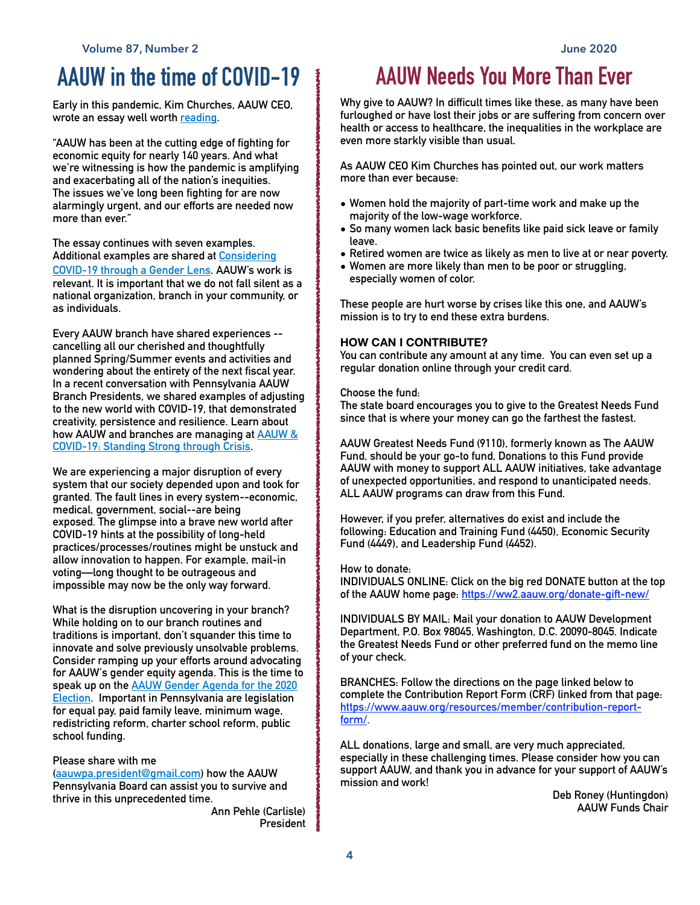# **AAUW in the time of COVID-19**

**Early in this pandemic, Kim Churches, AAUW CEO, wrote an essay well worth [reading.](https://www.aauw.org/resources/news/media/insights/covid-19-economic-impact/)** 

**"AAUW has been at the cutting edge of fighting for economic equity for nearly 140 years. And what we're witnessing is how the pandemic is amplifying and exacerbating all of the nation's inequities. The issues we've long been fighting for are now alarmingly urgent, and our efforts are needed now more than ever."** 

**The essay continues with seven examples. Additional examples are shared at [Considering](https://www.aauw.org/considering-covid-19-though-a-gender-lens/)  [COVID-19 through a Gender Lens](https://www.aauw.org/considering-covid-19-though-a-gender-lens/). AAUW's work is relevant. It is important that we do not fall silent as a national organization, branch in your community, or as individuals.**

**Every AAUW branch have shared experiences - cancelling all our cherished and thoughtfully planned Spring/Summer events and activities and wondering about the entirety of the next fiscal year. In a recent conversation with Pennsylvania AAUW Branch Presidents, we shared examples of adjusting to the new world with COVID-19, that demonstrated creativity, persistence and resilience. Learn about how AAUW and branches are managing at [AAUW &](https://www.aauw.org/resources/member/initiatives/connected-community/)  [COVID-19: Standing Strong through Crisis](https://www.aauw.org/resources/member/initiatives/connected-community/).** 

**We are experiencing a major disruption of every system that our society depended upon and took for granted. The fault lines in every system--economic, medical, government, social--are being exposed. The glimpse into a brave new world after COVID-19 hints at the possibility of long-held practices/processes/routines might be unstuck and allow innovation to happen. For example, mail-in voting—long thought to be outrageous and impossible may now be the only way forward.** 

**What is the disruption uncovering in your branch? While holding on to our branch routines and traditions is important, don't squander this time to innovate and solve previously unsolvable problems. Consider ramping up your efforts around advocating for AAUW's gender equity agenda. This is the time to speak up on the [AAUW Gender Agenda for the 2020](https://www.aauw.org/resources/news/media/press-releases/aauw-releases-gender-agenda-for-2020-election/)  [Election](https://www.aauw.org/resources/news/media/press-releases/aauw-releases-gender-agenda-for-2020-election/). Important in Pennsylvania are legislation for equal pay, paid family leave, minimum wage, redistricting reform, charter school reform, public school funding.** 

**Please share with me** 

**([aauwpa.president@gmail.com\)](mailto:aauwpa.president@gmail.com) how the AAUW Pennsylvania Board can assist you to survive and thrive in this unprecedented time.** 

**Ann Pehle (Carlisle) President** 

# **AAUW Needs You More Than Ever**

**Why give to AAUW? In difficult times like these, as many have been furloughed or have lost their jobs or are suffering from concern over health or access to healthcare, the inequalities in the workplace are even more starkly visible than usual.** 

**As AAUW CEO Kim Churches has pointed out, our work matters more than ever because:** 

- **• Women hold the majority of part-time work and make up the majority of the low-wage workforce.**
- **• So many women lack basic benefits like paid sick leave or family leave.**
- **• Retired women are twice as likely as men to live at or near poverty.**
- **• Women are more likely than men to be poor or struggling, especially women of color.**

**These people are hurt worse by crises like this one, and AAUW's mission is to try to end these extra burdens.** 

### **HOW CAN I CONTRIBUTE?**

**You can contribute any amount at any time. You can even set up a regular donation online through your credit card.** 

#### **Choose the fund:**

**The state board encourages you to give to the Greatest Needs Fund since that is where your money can go the farthest the fastest.** 

**AAUW Greatest Needs Fund (9110), formerly known as The AAUW Fund, should be your go-to fund, Donations to this Fund provide AAUW with money to support ALL AAUW initiatives, take advantage of unexpected opportunities, and respond to unanticipated needs. ALL AAUW programs can draw from this Fund.** 

**However, if you prefer, alternatives do exist and include the following: Education and Training Fund (4450), Economic Security Fund (4449), and Leadership Fund (4452).** 

**How to donate:** 

**INDIVIDUALS ONLINE: Click on the big red DONATE button at the top of the AAUW home page: <https://ww2.aauw.org/donate-gift-new/>**

**INDIVIDUALS BY MAIL: Mail your donation to AAUW Development Department, P.O. Box 98045, Washington, D.C. 20090-8045. Indicate the Greatest Needs Fund or other preferred fund on the memo line of your check.** 

**BRANCHES: Follow the directions on the page linked below to complete the Contribution Report Form (CRF) linked from that page: [https://www.aauw.org/resources/member/contribution-report](https://www.aauw.org/resources/member/contribution-report-form/)[form/](https://www.aauw.org/resources/member/contribution-report-form/).** 

**ALL donations, large and small, are very much appreciated, especially in these challenging times. Please consider how you can support AAUW, and thank you in advance for your support of AAUW's mission and work!** 

**Deb Roney (Huntingdon) AAUW Funds Chair**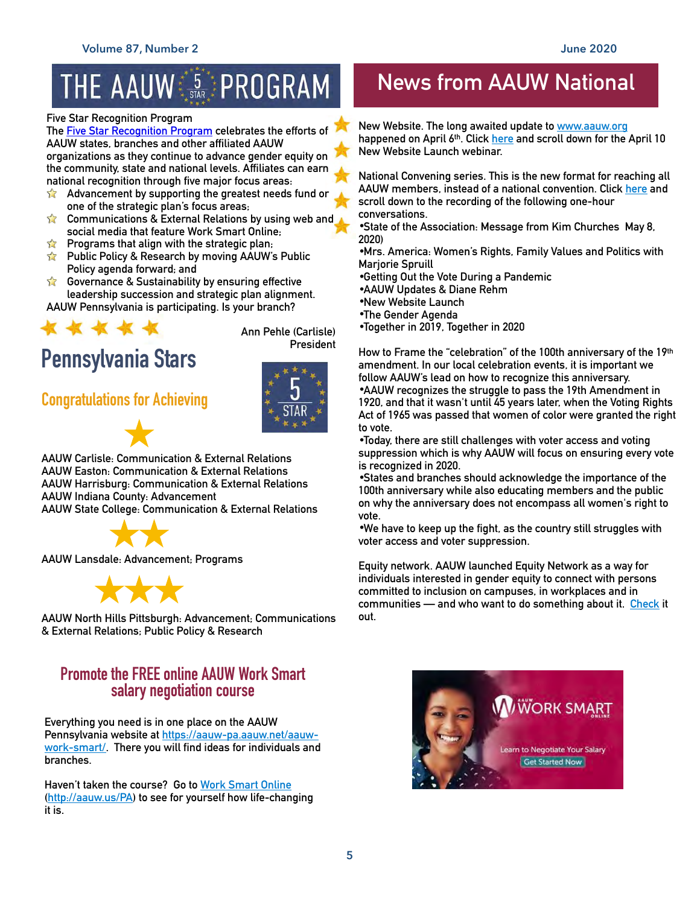# THE AAUW S STAR PROGRAM

#### **Five Star Recognition Program**

**The [Five Star Recognition Program](https://www.aauw.org/resources/member/initiatives/5-star-program/) celebrates the efforts of AAUW states, branches and other affiliated AAUW organizations as they continue to advance gender equity on the community, state and national levels. Affiliates can earn national recognition through five major focus areas:** 

- **Advancement by supporting the greatest needs fund or**   $\sum$ **one of the strategic plan's focus areas;**
- $\sum$ **Communications & External Relations by using web and social media that feature Work Smart Online;**
- **Programs that align with the strategic plan;**   $\sum$
- **Public Policy & Research by moving AAUW's Public**   $\sum$ **Policy agenda forward; and**
- **Governance & Sustainability by ensuring effective leadership succession and strategic plan alignment. AAUW Pennsylvania is participating. Is your branch?**



**Ann Pehle (Carlisle) President**

## **Congratulations for Achieving**



**AAUW Carlisle: Communication & External Relations AAUW Easton: Communication & External Relations AAUW Harrisburg: Communication & External Relations AAUW Indiana County: Advancement AAUW State College: Communication & External Relations** 



**AAUW Lansdale: Advancement; Programs** 



**AAUW North Hills Pittsburgh: Advancement; Communications & External Relations; Public Policy & Research**

### **Promote the FREE online AAUW Work Smart salary negotiation course**

**Everything you need is in one place on the AAUW Pennsylvania website at [https://aauw-pa.aauw.net/aauw](https://aauw-pa.aauw.net/aauw-work-smart/)[work-smart/.](https://aauw-pa.aauw.net/aauw-work-smart/) There you will find ideas for individuals and branches.** 

**Haven't taken the course? Go to [Work Smart Online](http://aauw.us/PA) (<http://aauw.us/PA>) to see for yourself how life-changing it is.**

# **News from AAUW National**

**New Website. The long awaited update to [www.aauw.org](http://www.aauw.org) happened on April 6th. Click [here](https://www.aauw.org/resources/member/initiatives/2020-convening/) and scroll down for the April 10 New Website Launch webinar.** 

**National Convening series. This is the new format for reaching all AAUW members, instead of a national convention. Click [here](https://www.aauw.org/resources/member/initiatives/2020-convening/) and scroll down to the recording of the following one-hour conversations.** 

•**State of the Association: Message from Kim Churches May 8, 2020)** 

•**Mrs. America: Women's Rights, Family Values and Politics with Marjorie Spruill** 

- •**Getting Out the Vote During a Pandemic**
- •**AAUW Updates & Diane Rehm**
- •**New Website Launch**
- •**The Gender Agenda**

•**Together in 2019, Together in 2020** 

**How to Frame the "celebration" of the 100th anniversary of the 19th amendment. In our local celebration events, it is important we follow AAUW's lead on how to recognize this anniversary.**  •**AAUW recognizes the struggle to pass the 19th Amendment in** 

**1920, and that it wasn't until 45 years later, when the Voting Rights Act of 1965 was passed that women of color were granted the right to vote.** 

•**Today, there are still challenges with voter access and voting suppression which is why AAUW will focus on ensuring every vote is recognized in 2020.** 

•**States and branches should acknowledge the importance of the 100th anniversary while also educating members and the public on why the anniversary does not encompass all women's right to vote.** 

•**We have to keep up the fight, as the country still struggles with voter access and voter suppression.** 

**Equity network. AAUW launched Equity Network as a way for individuals interested in gender equity to connect with persons committed to inclusion on campuses, in workplaces and in communities — and who want to do something about it. [Check](https://www.aauw.org/resources/programs/equity-network/) it out.** 

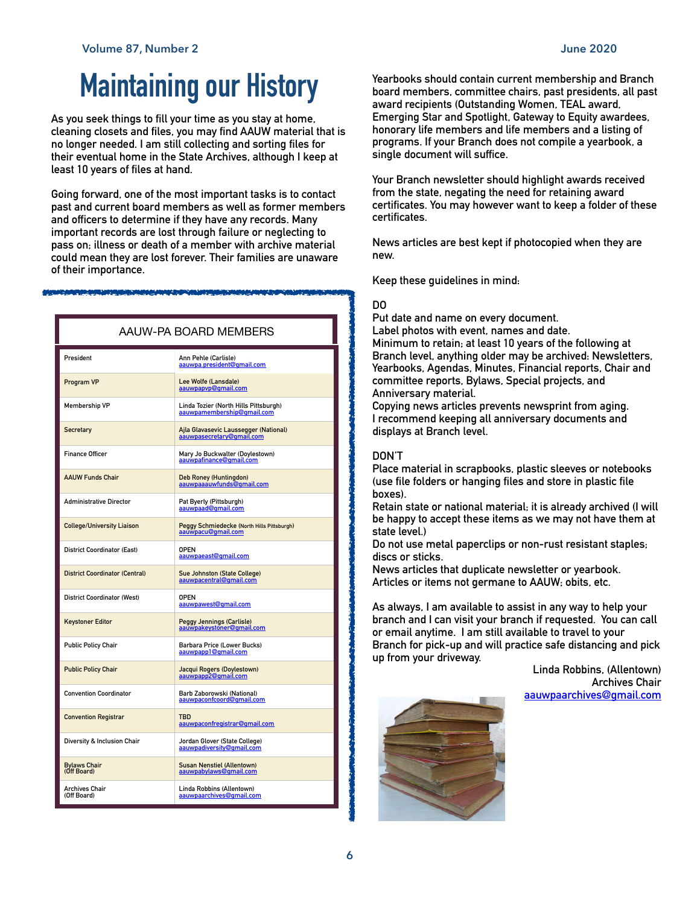# **Maintaining our History**

**As you seek things to fill your time as you stay at home, cleaning closets and files, you may find AAUW material that is no longer needed. I am still collecting and sorting files for their eventual home in the State Archives, although I keep at least 10 years of files at hand.** 

**Going forward, one of the most important tasks is to contact past and current board members as well as former members and officers to determine if they have any records. Many important records are lost through failure or neglecting to pass on; illness or death of a member with archive material could mean they are lost forever. Their families are unaware of their importance.** 

| AAUW-PA BOARD MEMBERS                 |                                                                     |
|---------------------------------------|---------------------------------------------------------------------|
| President                             | Ann Pehle (Carlisle)<br>aauwpa.president@gmail.com                  |
| Program VP                            | Lee Wolfe (Lansdale)<br>aauwpapyp@gmail.com                         |
| <b>Membership VP</b>                  | Linda Tozier (North Hills Pittsburgh)<br>aauwpamembership@gmail.com |
| <b>Secretary</b>                      | Ajla Glavasevic Laussegger (National)<br>aauwpasecretary@gmail.com  |
| <b>Finance Officer</b>                | Mary Jo Buckwalter (Doylestown)<br>aauwpafinance@gmail.com          |
| <b>AAUW Funds Chair</b>               | Deb Roney (Huntingdon)<br>aauwpaaauwfunds@gmail.com                 |
| <b>Administrative Director</b>        | Pat Byerly (Pittsburgh)<br>aauwpaad@gmail.com                       |
| <b>College/University Liaison</b>     | Peggy Schmiedecke (North Hills Pittsburgh)<br>aauwpacu@qmail.com    |
| <b>District Coordinator (East)</b>    | <b>OPEN</b><br>aauwpaeast@gmail.com                                 |
| <b>District Coordinator (Central)</b> | Sue Johnston (State College)<br>aauwpacentral@qmail.com             |
| <b>District Coordinator (West)</b>    | <b>OPEN</b><br>aauwpawest@gmail.com                                 |
| <b>Keystoner Editor</b>               | <b>Peggy Jennings (Carlisle)</b><br>aauwpakeystoner@gmail.com       |
| <b>Public Policy Chair</b>            | Barbara Price (Lower Bucks)<br>aauwpapp1@gmail.com                  |
| <b>Public Policy Chair</b>            | Jacqui Rogers (Doylestown)<br>aauwpapp2@gmail.com                   |
| <b>Convention Coordinator</b>         | Barb Zaborowski (National)<br>aauwpaconfcoord@gmail.com             |
| <b>Convention Registrar</b>           | <b>TBD</b><br>aauwpaconfregistrar@gmail.com                         |
| Diversity & Inclusion Chair           | Jordan Glover (State College)<br>aauwpadiversity@gmail.com          |
| <b>Bylaws Chair</b><br>(Off Board)    | <b>Susan Nenstiel (Allentown)</b><br>aauwpabylaws@qmail.com         |
| <b>Archives Chair</b><br>(Off Board)  | Linda Robbins (Allentown)<br>aauwpaarchives@qmail.com               |

**Yearbooks should contain current membership and Branch board members, committee chairs, past presidents, all past award recipients (Outstanding Women, TEAL award, Emerging Star and Spotlight, Gateway to Equity awardees, honorary life members and life members and a listing of programs. If your Branch does not compile a yearbook, a single document will suffice.** 

**Your Branch newsletter should highlight awards received from the state, negating the need for retaining award certificates. You may however want to keep a folder of these certificates.** 

**News articles are best kept if photocopied when they are new.** 

**Keep these guidelines in mind:** 

#### **DO**

**Put date and name on every document.** 

**Label photos with event, names and date. Minimum to retain; at least 10 years of the following at Branch level, anything older may be archived: Newsletters, Yearbooks, Agendas, Minutes, Financial reports, Chair and committee reports, Bylaws, Special projects, and Anniversary material.** 

**Copying news articles prevents newsprint from aging. I recommend keeping all anniversary documents and displays at Branch level.** 

### **DON'T**

**Place material in scrapbooks, plastic sleeves or notebooks (use file folders or hanging files and store in plastic file boxes).** 

**Retain state or national material; it is already archived (I will be happy to accept these items as we may not have them at state level.)** 

**Do not use metal paperclips or non-rust resistant staples; discs or sticks.** 

**News articles that duplicate newsletter or yearbook. Articles or items not germane to AAUW; obits, etc.** 

**As always, I am available to assist in any way to help your branch and I can visit your branch if requested. You can call or email anytime. I am still available to travel to your Branch for pick-up and will practice safe distancing and pick up from your driveway.** 

**Linda Robbins, (Allentown) Archives Chair [aauwpaarchives@gmail.com](mailto:aauwpaarchives@gmail.com)**

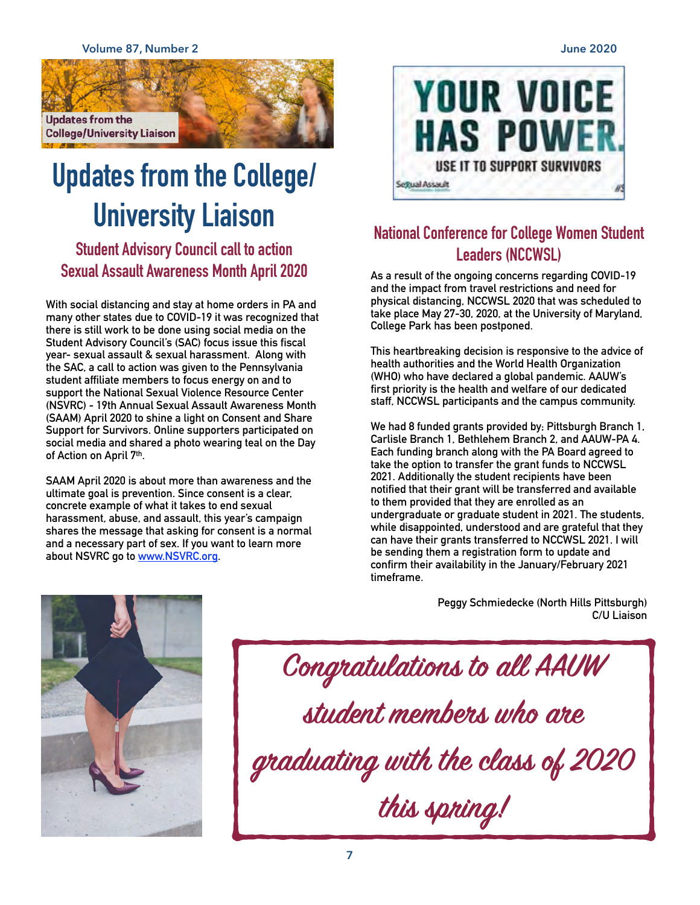**Volume 87, Number 2 June 2020**



# **Updates from the College/ University Liaison**

**Student Advisory Council call to action Sexual Assault Awareness Month April 2020** 

**With social distancing and stay at home orders in PA and many other states due to COVID-19 it was recognized that there is still work to be done using social media on the Student Advisory Council's (SAC) focus issue this fiscal year- sexual assault & sexual harassment. Along with the SAC, a call to action was given to the Pennsylvania student affiliate members to focus energy on and to support the National Sexual Violence Resource Center (NSVRC) - 19th Annual Sexual Assault Awareness Month (SAAM) April 2020 to shine a light on Consent and Share Support for Survivors. Online supporters participated on social media and shared a photo wearing teal on the Day of Action on April 7th.** 

**SAAM April 2020 is about more than awareness and the ultimate goal is prevention. Since consent is a clear, concrete example of what it takes to end sexual harassment, abuse, and assault, this year's campaign shares the message that asking for consent is a normal and a necessary part of sex. If you want to learn more about NSVRC go to [www.NSVRC.org.](http://www.NSVRC.org)** 



# **National Conference for College Women Student Leaders (NCCWSL)**

**As a result of the ongoing concerns regarding COVID-19 and the impact from travel restrictions and need for physical distancing, NCCWSL 2020 that was scheduled to take place May 27-30, 2020, at the University of Maryland, College Park has been postponed.** 

**This heartbreaking decision is responsive to the advice of health authorities and the World Health Organization (WHO) who have declared a global pandemic. AAUW's first priority is the health and welfare of our dedicated staff, NCCWSL participants and the campus community.** 

**We had 8 funded grants provided by; Pittsburgh Branch 1, Carlisle Branch 1, Bethlehem Branch 2, and AAUW-PA 4. Each funding branch along with the PA Board agreed to take the option to transfer the grant funds to NCCWSL 2021. Additionally the student recipients have been notified that their grant will be transferred and available to them provided that they are enrolled as an undergraduate or graduate student in 2021. The students, while disappointed, understood and are grateful that they can have their grants transferred to NCCWSL 2021. I will be sending them a registration form to update and confirm their availability in the January/February 2021 timeframe.** 



**Peggy Schmiedecke (North Hills Pittsburgh) C/U Liaison**

**Cogatulatios to all AAUW student membes who ae gaduating with the class of 2020 this spring!**